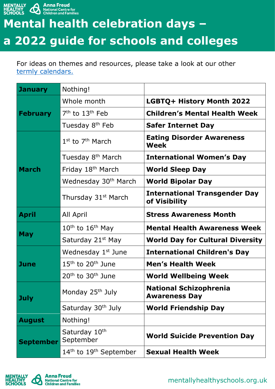

## **Mental health celebration days – a 2022 guide for schools and colleges**

For ideas on themes and resources, please take a look at our other [termly calendars.](https://mentallyhealthyschools.org.uk/search?SearchTerm=mental+health+and+wellbeing+calendar+term)

| <b>January</b>   | Nothing!                                       |                                                       |
|------------------|------------------------------------------------|-------------------------------------------------------|
| <b>February</b>  | Whole month                                    | LGBTQ+ History Month 2022                             |
|                  | $7th$ to $13th$ Feb                            | <b>Children's Mental Health Week</b>                  |
|                  | Tuesday 8 <sup>th</sup> Feb                    | <b>Safer Internet Day</b>                             |
| <b>March</b>     | $1st$ to $7th$ March                           | <b>Eating Disorder Awareness</b><br>Week              |
|                  | Tuesday 8 <sup>th</sup> March                  | <b>International Women's Day</b>                      |
|                  | Friday 18 <sup>th</sup> March                  | <b>World Sleep Day</b>                                |
|                  | Wednesday 30 <sup>th</sup> March               | <b>World Bipolar Day</b>                              |
|                  | Thursday 31 <sup>st</sup> March                | <b>International Transgender Day</b><br>of Visibility |
| <b>April</b>     | All April                                      | <b>Stress Awareness Month</b>                         |
| <b>May</b>       | $10th$ to $16th$ May                           | <b>Mental Health Awareness Week</b>                   |
|                  | Saturday 21 <sup>st</sup> May                  | <b>World Day for Cultural Diversity</b>               |
| <b>June</b>      | Wednesday 1 <sup>st</sup> June                 | <b>International Children's Day</b>                   |
|                  | $15th$ to $20th$ June                          | <b>Men's Health Week</b>                              |
|                  | $20th$ to $30th$ June                          | <b>World Wellbeing Week</b>                           |
| <b>July</b>      | Monday 25 <sup>th</sup> July                   | <b>National Schizophrenia</b><br><b>Awareness Day</b> |
|                  | Saturday 30 <sup>th</sup> July                 | <b>World Friendship Day</b>                           |
| <b>August</b>    | Nothing!                                       |                                                       |
| <b>September</b> | Saturday 10th<br>September                     | <b>World Suicide Prevention Day</b>                   |
|                  | 14 <sup>th</sup> to 19 <sup>th</sup> September | <b>Sexual Health Week</b>                             |